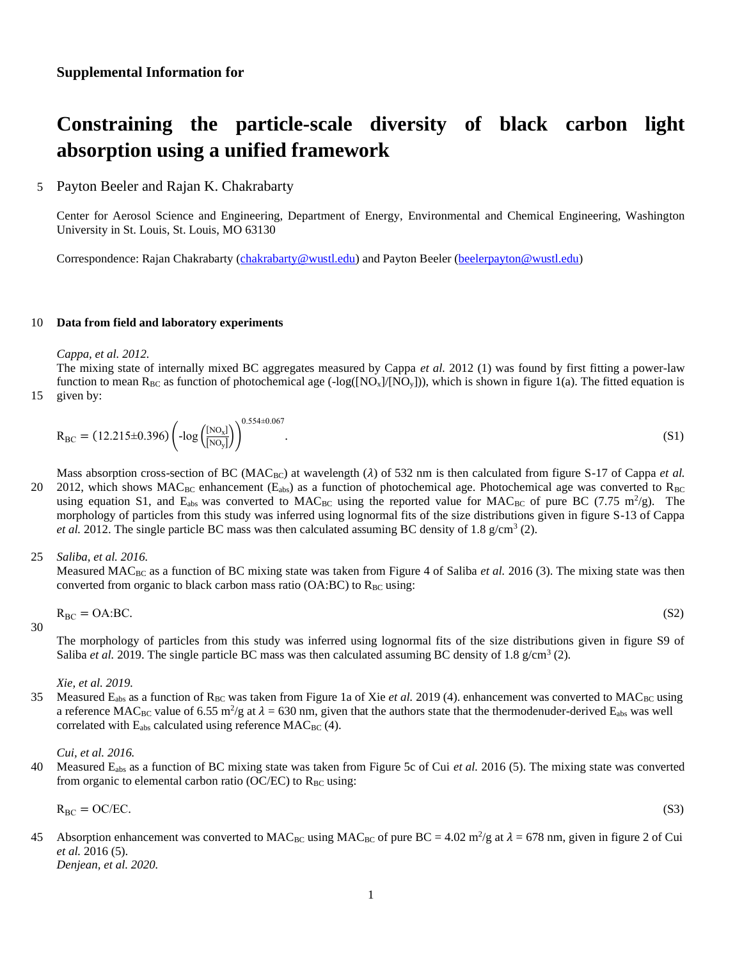# **Constraining the particle-scale diversity of black carbon light absorption using a unified framework**

# 5 Payton Beeler and Rajan K. Chakrabarty

Center for Aerosol Science and Engineering, Department of Energy, Environmental and Chemical Engineering, Washington University in St. Louis, St. Louis, MO 63130

Correspondence: Rajan Chakrabarty [\(chakrabarty@wustl.edu\)](mailto:chakrabarty@wustl.edu) and Payton Beeler [\(beelerpayton@wustl.edu\)](mailto:beelerpayton@wustl.edu)

## 10 **Data from field and laboratory experiments**

*Cappa, et al. 2012.* 

The mixing state of internally mixed BC aggregates measured by Cappa *et al.* 2012 (1) was found by first fitting a power-law function to mean  $R_{BC}$  as function of photochemical age (-log([NO<sub>x</sub>]/[NO<sub>y</sub>])), which is shown in figure 1(a). The fitted equation is n by:

$$
R_{BC} = (12.215 \pm 0.396) \left( -\log \left( \frac{[NO_x]}{[NO_y]} \right) \right)^{0.554 \pm 0.067}.
$$
 (S1)

Mass absorption cross-section of BC (MAC<sub>BC</sub>) at wavelength ( $\lambda$ ) of 532 nm is then calculated from figure S-17 of Cappa *et al.* 20 2012, which shows MAC<sub>BC</sub> enhancement ( $E_{abs}$ ) as a function of photochemical age. Photochemical age was converted to  $R_{BC}$ using equation S1, and  $E_{abs}$  was converted to MAC<sub>BC</sub> using the reported value for MAC<sub>BC</sub> of pure BC (7.75 m<sup>2</sup>/g). The morphology of particles from this study was inferred using lognormal fits of the size distributions given in figure S-13 of Cappa et al. 2012. The single particle BC mass was then calculated assuming BC density of 1.8 g/cm<sup>3</sup> (2).

### 25 *Saliba, et al. 2016.*

Measured MAC<sub>BC</sub> as a function of BC mixing state was taken from Figure 4 of Saliba et al. 2016 (3). The mixing state was then converted from organic to black carbon mass ratio ( $O(A:BC)$  to  $R_{BC}$  using:

$$
R_{BC} = OA:BC.
$$
 (S2)

30

The morphology of particles from this study was inferred using lognormal fits of the size distributions given in figure S9 of Saliba *et al.* 2019. The single particle BC mass was then calculated assuming BC density of 1.8  $g/cm^3$  (2).

*Xie, et al. 2019.* 

35 Measured E<sub>abs</sub> as a function of R<sub>BC</sub> was taken from Figure 1a of Xie *et al.* 2019 (4). enhancement was converted to MAC<sub>BC</sub> using a reference MAC<sub>BC</sub> value of 6.55 m<sup>2</sup>/g at  $\lambda$  = 630 nm, given that the authors state that the thermodenuder-derived E<sub>abs</sub> was well correlated with  $E_{abs}$  calculated using reference  $MAC_{BC}$  (4).

*Cui, et al. 2016.* 

40 Measured Eabs as a function of BC mixing state was taken from Figure 5c of Cui *et al.* 2016 (5). The mixing state was converted from organic to elemental carbon ratio (OC/EC) to  $R_{BC}$  using:

$$
R_{BC} = OC/EC.
$$
 (S3)

- 
- Absorption enhancement was converted to MAC<sub>BC</sub> using MAC<sub>BC</sub> of pure BC = 4.02 m<sup>2</sup>/g at  $\lambda$  = 678 nm, given in figure 2 of Cui *et al.* 2016 (5). *Denjean, et al. 2020.*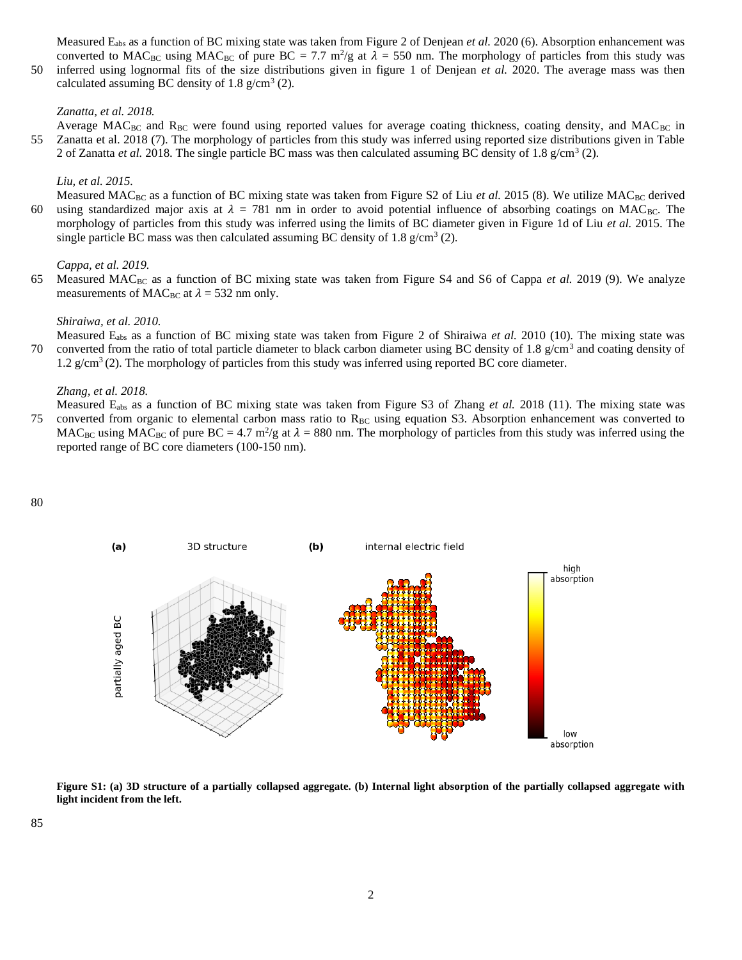Measured Eabs as a function of BC mixing state was taken from Figure 2 of Denjean *et al.* 2020 (6). Absorption enhancement was converted to MAC<sub>BC</sub> using MAC<sub>BC</sub> of pure BC = 7.7 m<sup>2</sup>/g at  $\lambda$  = 550 nm. The morphology of particles from this study was

50 inferred using lognormal fits of the size distributions given in figure 1 of Denjean *et al.* 2020. The average mass was then calculated assuming BC density of 1.8  $g/cm^3$  (2).

### *Zanatta, et al. 2018.*

Average MAC<sub>BC</sub> and R<sub>BC</sub> were found using reported values for average coating thickness, coating density, and MAC<sub>BC</sub> in 55 Zanatta et al. 2018 (7). The morphology of particles from this study was inferred using reported size distributions given in Table 2 of Zanatta et al. 2018. The single particle BC mass was then calculated assuming BC density of 1.8 g/cm<sup>3</sup> (2).

#### *Liu, et al. 2015.*

Measured MAC<sub>BC</sub> as a function of BC mixing state was taken from Figure S2 of Liu *et al.* 2015 (8). We utilize MAC<sub>BC</sub> derived 60 using standardized major axis at  $\lambda = 781$  nm in order to avoid potential influence of absorbing coatings on MAC<sub>BC</sub>. The morphology of particles from this study was inferred using the limits of BC diameter given in Figure 1d of Liu *et al.* 2015. The single particle BC mass was then calculated assuming BC density of 1.8  $g/cm^3$  (2).

#### *Cappa, et al. 2019.*

65 Measured MAC<sub>BC</sub> as a function of BC mixing state was taken from Figure S4 and S6 of Cappa *et al.* 2019 (9). We analyze measurements of MAC<sub>BC</sub> at  $\lambda = 532$  nm only.

#### *Shiraiwa, et al. 2010.*

Measured Eabs as a function of BC mixing state was taken from Figure 2 of Shiraiwa *et al.* 2010 (10). The mixing state was 70 converted from the ratio of total particle diameter to black carbon diameter using BC density of 1.8  $g/cm<sup>3</sup>$  and coating density of 1.2  $g/cm<sup>3</sup>$  (2). The morphology of particles from this study was inferred using reported BC core diameter.

#### *Zhang, et al. 2018.*

Measured Eabs as a function of BC mixing state was taken from Figure S3 of Zhang *et al.* 2018 (11). The mixing state was 75 converted from organic to elemental carbon mass ratio to  $R_{BC}$  using equation S3. Absorption enhancement was converted to

MAC<sub>BC</sub> using MAC<sub>BC</sub> of pure BC = 4.7 m<sup>2</sup>/g at  $\lambda$  = 880 nm. The morphology of particles from this study was inferred using the reported range of BC core diameters (100-150 nm).



**Figure S1: (a) 3D structure of a partially collapsed aggregate. (b) Internal light absorption of the partially collapsed aggregate with light incident from the left.**

85